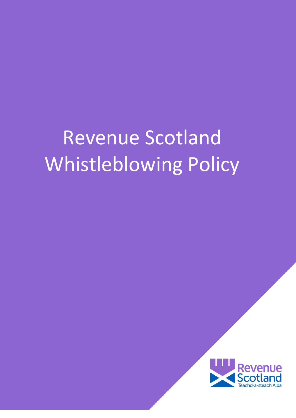# Revenue Scotland Whistleblowing Policy

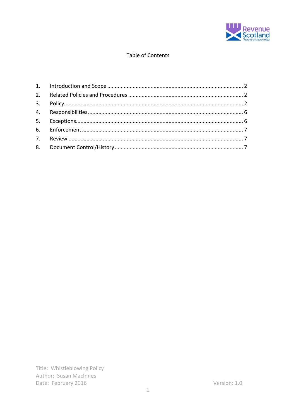

# Table of Contents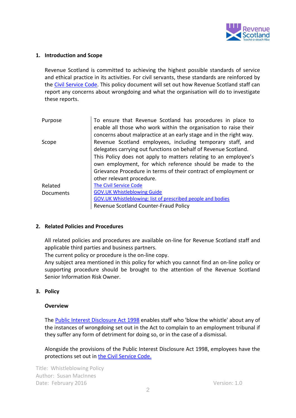

#### <span id="page-2-0"></span>**1. Introduction and Scope**

Revenue Scotland is committed to achieving the highest possible standards of service and ethical practice in its activities. For civil servants, these standards are reinforced by the [Civil Service Code.](https://www.gov.uk/government/publications/civil-service-code/the-civil-service-code) This policy document will set out how Revenue Scotland staff can report any concerns about wrongdoing and what the organisation will do to investigate these reports.

| Purpose   | To ensure that Revenue Scotland has procedures in place to<br>enable all those who work within the organisation to raise their<br>concerns about malpractice at an early stage and in the right way.                                                                                                                                                          |  |  |
|-----------|---------------------------------------------------------------------------------------------------------------------------------------------------------------------------------------------------------------------------------------------------------------------------------------------------------------------------------------------------------------|--|--|
| Scope     | Revenue Scotland employees, including temporary staff, and<br>delegates carrying out functions on behalf of Revenue Scotland.<br>This Policy does not apply to matters relating to an employee's<br>own employment, for which reference should be made to the<br>Grievance Procedure in terms of their contract of employment or<br>other relevant procedure. |  |  |
| Related   | <b>The Civil Service Code</b>                                                                                                                                                                                                                                                                                                                                 |  |  |
| Documents | <b>GOV.UK Whistleblowing Guide</b>                                                                                                                                                                                                                                                                                                                            |  |  |
|           | <b>GOV.UK Whistleblowing: list of prescribed people and bodies</b>                                                                                                                                                                                                                                                                                            |  |  |
|           | Revenue Scotland Counter-Fraud Policy                                                                                                                                                                                                                                                                                                                         |  |  |

#### <span id="page-2-1"></span>**2. Related Policies and Procedures**

All related policies and procedures are available on-line for Revenue Scotland staff and applicable third parties and business partners.

The current policy or procedure is the on-line copy.

Any subject area mentioned in this policy for which you cannot find an on-line policy or supporting procedure should be brought to the attention of the Revenue Scotland Senior Information Risk Owner.

#### <span id="page-2-2"></span>**3. Policy**

#### **Overview**

The [Public Interest Disclosure Act 1998](http://www.legislation.gov.uk/ukpga/1998/23/contents) enables staff who 'blow the whistle' about any of the instances of wrongdoing set out in the Act to complain to an employment tribunal if they suffer any form of detriment for doing so, or in the case of a dismissal.

Alongside the provisions of the Public Interest Disclosure Act 1998, employees have the protections set out in [the Civil Service Code.](https://www.gov.uk/government/publications/civil-service-code/the-civil-service-code)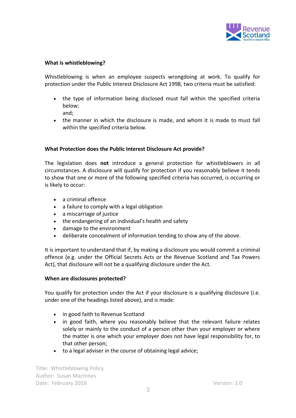

#### **What is whistleblowing?**

Whistleblowing is when an employee suspects wrongdoing at work. To qualify for protection under the Public Interest Disclosure Act 1998, two criteria must be satisfied:

- the type of information being disclosed must fall within the specified criteria below;
	- and;
- the manner in which the disclosure is made, and whom it is made to must fall within the specified criteria below.

# **What Protection does the Public Interest Disclosure Act provide?**

The legislation does **not** introduce a general protection for whistleblowers in all circumstances. A disclosure will qualify for protection if you reasonably believe it tends to show that one or more of the following specified criteria has occurred, is occurring or is likely to occur:

- a criminal offence
- a failure to comply with a legal obligation
- a miscarriage of justice
- the endangering of an individual's health and safety
- damage to the environment
- deliberate concealment of information tending to show any of the above.

It is important to understand that if, by making a disclosure you would commit a criminal offence (e.g. under the Official Secrets Acts or the Revenue Scotland and Tax Powers Act), that disclosure will not be a qualifying disclosure under the Act.

#### **When are disclosures protected?**

You qualify for protection under the Act if your disclosure is a qualifying disclosure (i.e. under one of the headings listed above), and is made:

- in good faith to Revenue Scotland
- in good faith, where you reasonably believe that the relevant failure relates solely or mainly to the conduct of a person other than your employer or where the matter is one which your employer does not have legal responsibility for, to that other person;
- to a legal adviser in the course of obtaining legal advice;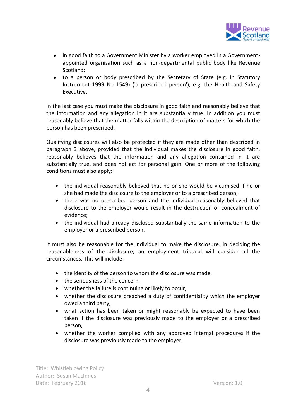

- in good faith to a Government Minister by a worker employed in a Governmentappointed organisation such as a non-departmental public body like Revenue Scotland;
- to a person or body prescribed by the Secretary of State (e.g. in Statutory Instrument 1999 No 1549) ('a prescribed person'), e.g. the Health and Safety Executive.

In the last case you must make the disclosure in good faith and reasonably believe that the information and any allegation in it are substantially true. In addition you must reasonably believe that the matter falls within the description of matters for which the person has been prescribed.

Qualifying disclosures will also be protected if they are made other than described in paragraph 3 above, provided that the individual makes the disclosure in good faith, reasonably believes that the information and any allegation contained in it are substantially true, and does not act for personal gain. One or more of the following conditions must also apply:

- the individual reasonably believed that he or she would be victimised if he or she had made the disclosure to the employer or to a prescribed person;
- there was no prescribed person and the individual reasonably believed that disclosure to the employer would result in the destruction or concealment of evidence;
- the individual had already disclosed substantially the same information to the employer or a prescribed person.

It must also be reasonable for the individual to make the disclosure. In deciding the reasonableness of the disclosure, an employment tribunal will consider all the circumstances. This will include:

- the identity of the person to whom the disclosure was made,
- the seriousness of the concern,
- whether the failure is continuing or likely to occur,
- whether the disclosure breached a duty of confidentiality which the employer owed a third party,
- what action has been taken or might reasonably be expected to have been taken if the disclosure was previously made to the employer or a prescribed person,
- whether the worker complied with any approved internal procedures if the disclosure was previously made to the employer.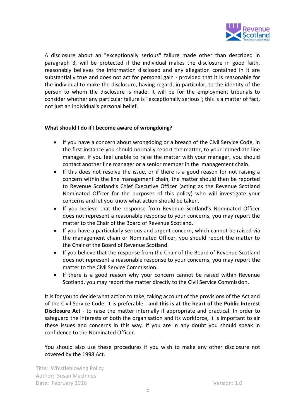

A disclosure about an "exceptionally serious" failure made other than described in paragraph 3, will be protected if the individual makes the disclosure in good faith, reasonably believes the information disclosed and any allegation contained in it are substantially true and does not act for personal gain - provided that it is reasonable for the individual to make the disclosure, having regard, in particular, to the identity of the person to whom the disclosure is made. It will be for the employment tribunals to consider whether any particular failure is "exceptionally serious"; this is a matter of fact, not just an individual's personal belief.

# **What should I do if I become aware of wrongdoing?**

- If you have a concern about wrongdoing or a breach of the Civil Service Code, in the first instance you should normally report the matter, to your immediate line manager. If you feel unable to raise the matter with your manager, you should contact another line manager or a senior member in the management chain.
- If this does not resolve the issue, or if there is a good reason for not raising a concern within the line management chain, the matter should then be reported to Revenue Scotland's Chief Executive Officer (acting as the Revenue Scotland Nominated Officer for the purposes of this policy) who will investigate your concerns and let you know what action should be taken.
- If you believe that the response from Revenue Scotland's Nominated Officer does not represent a reasonable response to your concerns, you may report the matter to the Chair of the Board of Revenue Scotland.
- If you have a particularly serious and urgent concern, which cannot be raised via the management chain or Nominated Officer, you should report the matter to the Chair of the Board of Revenue Scotland.
- If you believe that the response from the Chair of the Board of Revenue Scotland does not represent a reasonable response to your concerns, you may report the matter to the Civil Service Commission.
- If there is a good reason why your concern cannot be raised within Revenue Scotland, you may report the matter directly to the Civil Service Commission.

It is for you to decide what action to take, taking account of the provisions of the Act and of the Civil Service Code. It is preferable - **and this is at the heart of the Public Interest Disclosure Act** - to raise the matter internally if appropriate and practical. In order to safeguard the interests of both the organisation and its workforce, it is important to air these issues and concerns in this way. If you are in any doubt you should speak in confidence to the Nominated Officer.

You should also use these procedures if you wish to make any other disclosure not covered by the 1998 Act.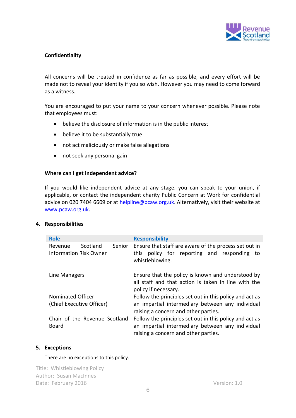

# **Confidentiality**

All concerns will be treated in confidence as far as possible, and every effort will be made not to reveal your identity if you so wish. However you may need to come forward as a witness.

You are encouraged to put your name to your concern whenever possible. Please note that employees must:

- believe the disclosure of information is in the public interest
- believe it to be substantially true
- not act maliciously or make false allegations
- not seek any personal gain

#### **Where can I get independent advice?**

If you would like independent advice at any stage, you can speak to your union, if applicable, or contact the independent charity Public Concern at Work for confidential advice on 020 7404 6609 or at [helpline@pcaw.org.uk.](mailto:helpline@pcaw.org.uk) Alternatively, visit their website at [www.pcaw.org.uk.](http://www.pcaw.org.uk/)

# <span id="page-6-0"></span>**4. Responsibilities**

| <b>Role</b>                              |                               |        | <b>Responsibility</b>                                                                                                                               |  |  |
|------------------------------------------|-------------------------------|--------|-----------------------------------------------------------------------------------------------------------------------------------------------------|--|--|
| Revenue<br><b>Information Risk Owner</b> | Scotland                      | Senior | Ensure that staff are aware of the process set out in<br>this policy for reporting and responding to<br>whistleblowing.                             |  |  |
| Line Managers                            |                               |        | Ensure that the policy is known and understood by<br>all staff and that action is taken in line with the<br>policy if necessary.                    |  |  |
| Nominated Officer                        |                               |        | Follow the principles set out in this policy and act as                                                                                             |  |  |
| (Chief Executive Officer)                |                               |        | an impartial intermediary between any individual<br>raising a concern and other parties.                                                            |  |  |
| Board                                    | Chair of the Revenue Scotland |        | Follow the principles set out in this policy and act as<br>an impartial intermediary between any individual<br>raising a concern and other parties. |  |  |

#### <span id="page-6-1"></span>**5. Exceptions**

#### There are no exceptions to this policy.